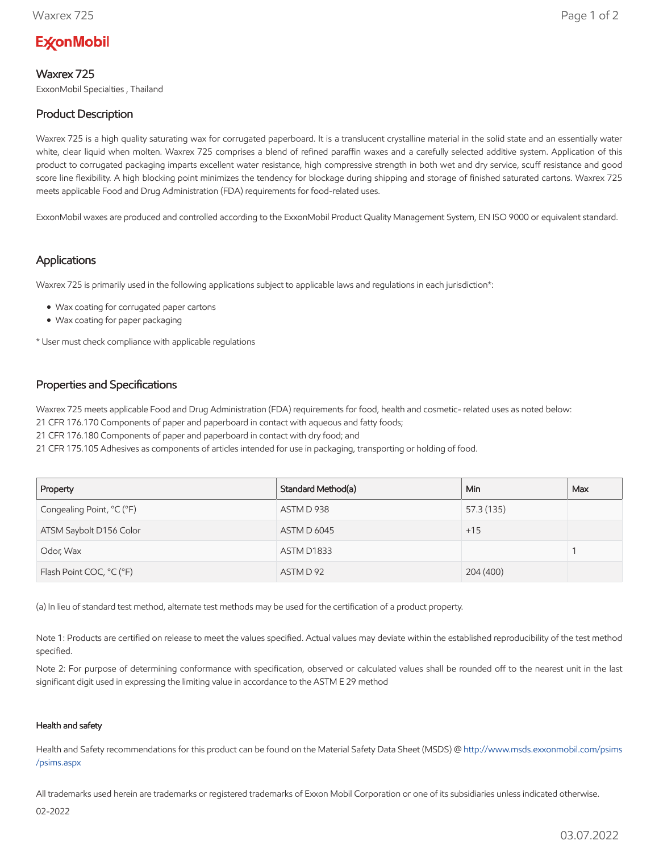# **ExconMobil**

## Waxrex 725

ExxonMobil Specialties , Thailand

# Product Description

Waxrex 725 is a high quality saturating wax for corrugated paperboard. It is a translucent crystalline material in the solid state and an essentially water white, clear liquid when molten. Waxrex 725 comprises a blend of refined paraffin waxes and a carefully selected additive system. Application of this product to corrugated packaging imparts excellent water resistance, high compressive strength in both wet and dry service, scuff resistance and good score line flexibility. A high blocking point minimizes the tendency for blockage during shipping and storage of finished saturated cartons. Waxrex 725 meets applicable Food and Drug Administration (FDA) requirements for food-related uses.

ExxonMobil waxes are produced and controlled according to the ExxonMobil Product Quality Management System, EN ISO 9000 or equivalent standard.

## Applications

Waxrex 725 is primarily used in the following applications subject to applicable laws and regulations in each jurisdiction\*:

- Wax coating for corrugated paper cartons
- Wax coating for paper packaging

\* User must check compliance with applicable regulations

## Properties and Specifications

Waxrex 725 meets applicable Food and Drug Administration (FDA) requirements for food, health and cosmetic- related uses as noted below:

21 CFR 176.170 Components of paper and paperboard in contact with aqueous and fatty foods;

21 CFR 176.180 Components of paper and paperboard in contact with dry food; and

21 CFR 175.105 Adhesives as components of articles intended for use in packaging, transporting or holding of food.

| Property                  | Standard Method(a) | Min.       | Max |
|---------------------------|--------------------|------------|-----|
| Congealing Point, °C (°F) | ASTM D 938         | 57.3 (135) |     |
| ATSM Saybolt D156 Color   | <b>ASTM D 6045</b> | $+15$      |     |
| Odor, Wax                 | ASTM D1833         |            |     |
| Flash Point COC, °C (°F)  | ASTM D 92          | 204 (400)  |     |

(a) In lieu of standard test method, alternate test methods may be used for the certification of a product property.

Note 1: Products are certified on release to meet the values specified. Actual values may deviate within the established reproducibility of the test method specified.

Note 2: For purpose of determining conformance with specification, observed or calculated values shall be rounded off to the nearest unit in the last significant digit used in expressing the limiting value in accordance to the ASTM E 29 method

#### Health and safety

Health and Safety recommendations for this product can be found on the Material Safety Data Sheet (MSDS) @ [http://www.msds.exxonmobil.com/psims](http://www.msds.exxonmobil.com/psims/psims.aspx) /psims.aspx

All trademarks used herein are trademarks or registered trademarks of Exxon Mobil Corporation or one of its subsidiaries unless indicated otherwise.